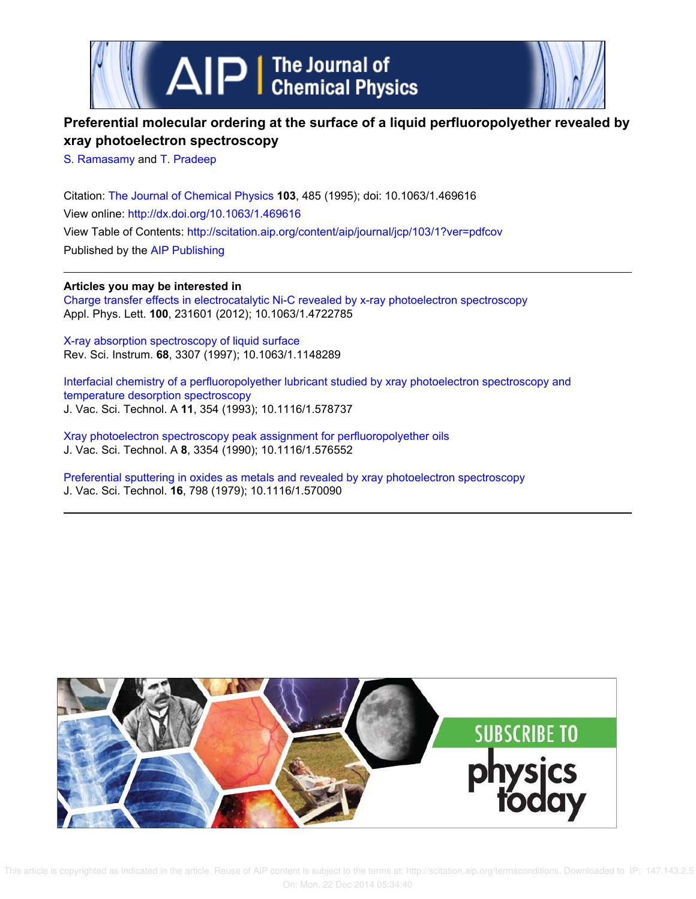

## **Preferential molecular ordering at the surface of a liquid perfluoropolyether revealed by xray photoelectron spectroscopy**

S. Ramasamy and T. Pradeep

Citation: The Journal of Chemical Physics **103**, 485 (1995); doi: 10.1063/1.469616 View online: http://dx.doi.org/10.1063/1.469616 View Table of Contents: http://scitation.aip.org/content/aip/journal/jcp/103/1?ver=pdfcov Published by the AIP Publishing

## **Articles you may be interested in**

Charge transfer effects in electrocatalytic Ni-C revealed by x-ray photoelectron spectroscopy Appl. Phys. Lett. **100**, 231601 (2012); 10.1063/1.4722785

X-ray absorption spectroscopy of liquid surface Rev. Sci. Instrum. **68**, 3307 (1997); 10.1063/1.1148289

Interfacial chemistry of a perfluoropolyether lubricant studied by xray photoelectron spectroscopy and temperature desorption spectroscopy J. Vac. Sci. Technol. A **11**, 354 (1993); 10.1116/1.578737

Xray photoelectron spectroscopy peak assignment for perfluoropolyether oils J. Vac. Sci. Technol. A **8**, 3354 (1990); 10.1116/1.576552

Preferential sputtering in oxides as metals and revealed by xray photoelectron spectroscopy J. Vac. Sci. Technol. **16**, 798 (1979); 10.1116/1.570090

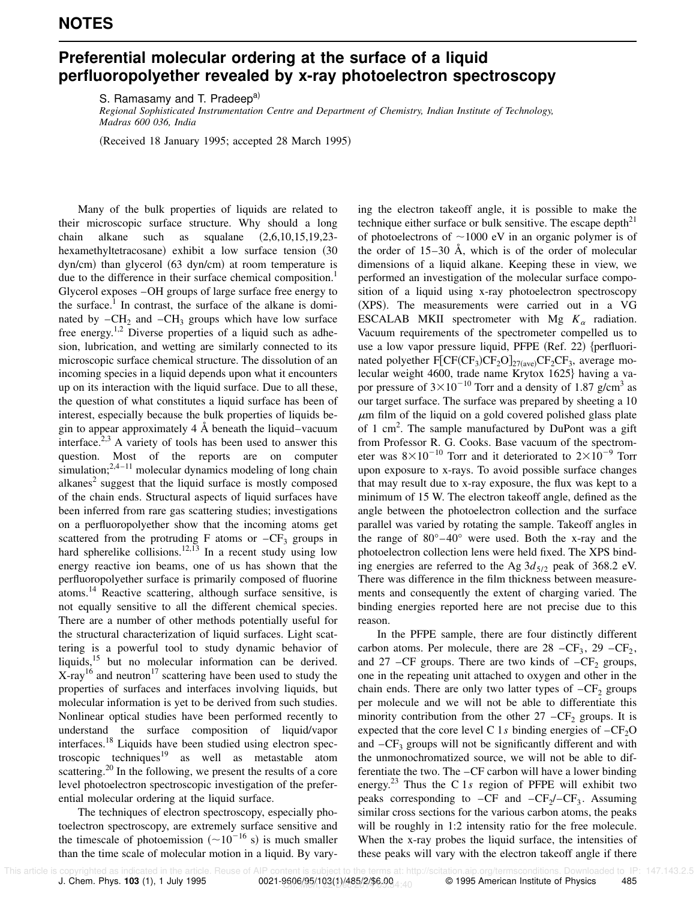## **Preferential molecular ordering at the surface of a liquid perfluoropolyether revealed by x-ray photoelectron spectroscopy**

S. Ramasamy and T. Pradeep<sup>a)</sup>

*Regional Sophisticated Instrumentation Centre and Department of Chemistry, Indian Institute of Technology, Madras 600 036, India*

(Received 18 January 1995; accepted 28 March 1995)

Many of the bulk properties of liquids are related to their microscopic surface structure. Why should a long chain alkane such as squalane  $(2,6,10,15,19,23$ hexamethyltetracosane) exhibit a low surface tension (30)  $dyn/cm)$  than glycerol  $(63$  dyn/cm) at room temperature is due to the difference in their surface chemical composition.<sup>1</sup> Glycerol exposes –OH groups of large surface free energy to the surface.<sup>1</sup> In contrast, the surface of the alkane is dominated by  $-CH_2$  and  $-CH_3$  groups which have low surface free energy.<sup>1,2</sup> Diverse properties of a liquid such as adhesion, lubrication, and wetting are similarly connected to its microscopic surface chemical structure. The dissolution of an incoming species in a liquid depends upon what it encounters up on its interaction with the liquid surface. Due to all these, the question of what constitutes a liquid surface has been of interest, especially because the bulk properties of liquids begin to appear approximately 4 Å beneath the liquid–vacuum interface.<sup>2,3</sup> A variety of tools has been used to answer this question. Most of the reports are on computer simulation; $2,4-11$  molecular dynamics modeling of long chain alkanes $2$  suggest that the liquid surface is mostly composed of the chain ends. Structural aspects of liquid surfaces have been inferred from rare gas scattering studies; investigations on a perfluoropolyether show that the incoming atoms get scattered from the protruding F atoms or  $-CF_3$  groups in hard spherelike collisions.<sup>12,13</sup> In a recent study using low energy reactive ion beams, one of us has shown that the perfluoropolyether surface is primarily composed of fluorine atoms.<sup>14</sup> Reactive scattering, although surface sensitive, is not equally sensitive to all the different chemical species. There are a number of other methods potentially useful for the structural characterization of liquid surfaces. Light scattering is a powerful tool to study dynamic behavior of liquids,<sup>15</sup> but no molecular information can be derived.  $X$ -ray<sup>16</sup> and neutron<sup>17</sup> scattering have been used to study the properties of surfaces and interfaces involving liquids, but molecular information is yet to be derived from such studies. Nonlinear optical studies have been performed recently to understand the surface composition of liquid/vapor interfaces.<sup>18</sup> Liquids have been studied using electron spectroscopic techniques<sup>19</sup> as well as metastable atom scattering.<sup>20</sup> In the following, we present the results of a core level photoelectron spectroscopic investigation of the preferential molecular ordering at the liquid surface.

The techniques of electron spectroscopy, especially photoelectron spectroscopy, are extremely surface sensitive and the timescale of photoemission  $({\sim}10^{-16}$  s) is much smaller than the time scale of molecular motion in a liquid. By varying the electron takeoff angle, it is possible to make the technique either surface or bulk sensitive. The escape depth<sup>21</sup> of photoelectrons of  $\sim$ 1000 eV in an organic polymer is of the order of  $15-30$  Å, which is of the order of molecular dimensions of a liquid alkane. Keeping these in view, we performed an investigation of the molecular surface composition of a liquid using x-ray photoelectron spectroscopy (XPS). The measurements were carried out in a VG ESCALAB MKII spectrometer with Mg  $K_{\alpha}$  radiation. Vacuum requirements of the spectrometer compelled us to use a low vapor pressure liquid, PFPE (Ref. 22)  $\{\text{perfluori-}\}$ nated polyether  $F[\text{CF}(CF_3)CF_2O]_{27(\text{ave})}CF_2CF_3$ , average molecular weight 4600, trade name Krytox 1625} having a vapor pressure of  $3 \times 10^{-10}$  Torr and a density of 1.87 g/cm<sup>3</sup> as our target surface. The surface was prepared by sheeting a 10  $\mu$ m film of the liquid on a gold covered polished glass plate of 1 cm<sup>2</sup>. The sample manufactured by DuPont was a gift from Professor R. G. Cooks. Base vacuum of the spectrometer was  $8\times10^{-10}$  Torr and it deteriorated to  $2\times10^{-9}$  Torr upon exposure to x-rays. To avoid possible surface changes that may result due to x-ray exposure, the flux was kept to a minimum of 15 W. The electron takeoff angle, defined as the angle between the photoelectron collection and the surface parallel was varied by rotating the sample. Takeoff angles in the range of 80°–40° were used. Both the x-ray and the photoelectron collection lens were held fixed. The XPS binding energies are referred to the Ag  $3d_{5/2}$  peak of 368.2 eV. There was difference in the film thickness between measurements and consequently the extent of charging varied. The binding energies reported here are not precise due to this reason.

In the PFPE sample, there are four distinctly different carbon atoms. Per molecule, there are  $28 - CF_3$ ,  $29 - CF_2$ , and 27 – CF groups. There are two kinds of  $-CF_2$  groups, one in the repeating unit attached to oxygen and other in the chain ends. There are only two latter types of  $-CF_2$  groups per molecule and we will not be able to differentiate this minority contribution from the other  $27 - CF_2$  groups. It is expected that the core level C 1s binding energies of  $-CF<sub>2</sub>O$ and  $-CF<sub>3</sub>$  groups will not be significantly different and with the unmonochromatized source, we will not be able to differentiate the two. The –CF carbon will have a lower binding energy.<sup>23</sup> Thus the C 1*s* region of PFPE will exhibit two peaks corresponding to  $-CF$  and  $-CF_2/-CF_3$ . Assuming similar cross sections for the various carbon atoms, the peaks will be roughly in 1:2 intensity ratio for the free molecule. When the x-ray probes the liquid surface, the intensities of these peaks will vary with the electron takeoff angle if there